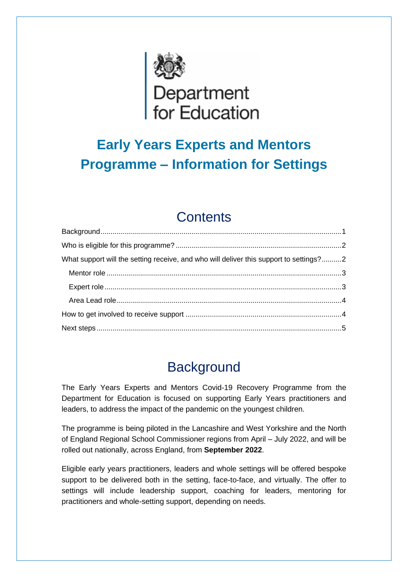

# **Early Years Experts and Mentors Programme – Information for Settings**

# **Contents**

| What support will the setting receive, and who will deliver this support to settings?2 |  |
|----------------------------------------------------------------------------------------|--|
|                                                                                        |  |
|                                                                                        |  |
|                                                                                        |  |
|                                                                                        |  |
|                                                                                        |  |

# **Background**

<span id="page-0-0"></span>The Early Years Experts and Mentors Covid-19 Recovery Programme from the Department for Education is focused on supporting Early Years practitioners and leaders, to address the impact of the pandemic on the youngest children.

The programme is being piloted in the Lancashire and West Yorkshire and the North of England Regional School Commissioner regions from April – July 2022, and will be rolled out nationally, across England, from **September 2022**.

Eligible early years practitioners, leaders and whole settings will be offered bespoke support to be delivered both in the setting, face-to-face, and virtually. The offer to settings will include leadership support, coaching for leaders, mentoring for practitioners and whole-setting support, depending on needs.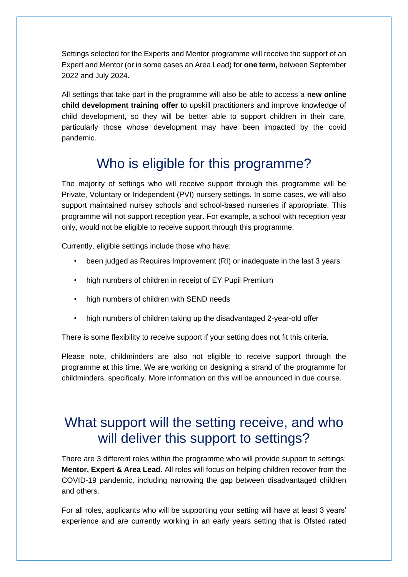Settings selected for the Experts and Mentor programme will receive the support of an Expert and Mentor (or in some cases an Area Lead) for **one term,** between September 2022 and July 2024.

All settings that take part in the programme will also be able to access a **new online child development training offer** to upskill practitioners and improve knowledge of child development, so they will be better able to support children in their care, particularly those whose development may have been impacted by the covid pandemic.

## Who is eligible for this programme?

<span id="page-1-0"></span>The majority of settings who will receive support through this programme will be Private, Voluntary or Independent (PVI) nursery settings. In some cases, we will also support maintained nursey schools and school-based nurseries if appropriate. This programme will not support reception year. For example, a school with reception year only, would not be eligible to receive support through this programme.

Currently, eligible settings include those who have:

- been judged as Requires Improvement (RI) or inadequate in the last 3 years
- high numbers of children in receipt of EY Pupil Premium
- high numbers of children with SEND needs
- high numbers of children taking up the disadvantaged 2-year-old offer

There is some flexibility to receive support if your setting does not fit this criteria.

Please note, childminders are also not eligible to receive support through the programme at this time. We are working on designing a strand of the programme for childminders, specifically. More information on this will be announced in due course.

### <span id="page-1-1"></span>What support will the setting receive, and who will deliver this support to settings?

There are 3 different roles within the programme who will provide support to settings: **Mentor, Expert & Area Lead**. All roles will focus on helping children recover from the COVID-19 pandemic, including narrowing the gap between disadvantaged children and others.

For all roles, applicants who will be supporting your setting will have at least 3 years' experience and are currently working in an early years setting that is Ofsted rated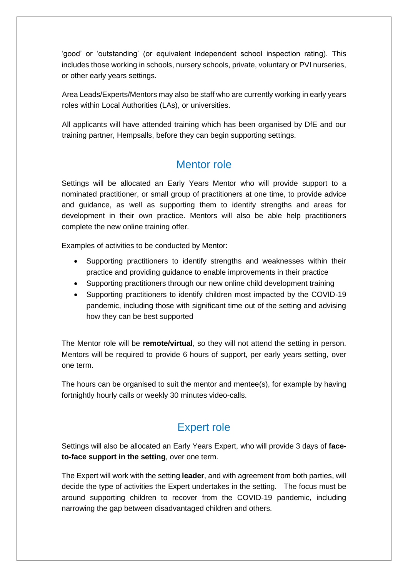'good' or 'outstanding' (or equivalent independent school inspection rating). This includes those working in schools, nursery schools, private, voluntary or PVI nurseries, or other early years settings.

Area Leads/Experts/Mentors may also be staff who are currently working in early years roles within Local Authorities (LAs), or universities.

All applicants will have attended training which has been organised by DfE and our training partner, Hempsalls, before they can begin supporting settings.

#### Mentor role

<span id="page-2-0"></span>Settings will be allocated an Early Years Mentor who will provide support to a nominated practitioner, or small group of practitioners at one time, to provide advice and guidance, as well as supporting them to identify strengths and areas for development in their own practice. Mentors will also be able help practitioners complete the new online training offer.

Examples of activities to be conducted by Mentor:

- Supporting practitioners to identify strengths and weaknesses within their practice and providing guidance to enable improvements in their practice
- Supporting practitioners through our new online child development training
- Supporting practitioners to identify children most impacted by the COVID-19 pandemic, including those with significant time out of the setting and advising how they can be best supported

The Mentor role will be **remote/virtual**, so they will not attend the setting in person. Mentors will be required to provide 6 hours of support, per early years setting, over one term.

The hours can be organised to suit the mentor and mentee(s), for example by having fortnightly hourly calls or weekly 30 minutes video-calls.

#### Expert role

<span id="page-2-1"></span>Settings will also be allocated an Early Years Expert, who will provide 3 days of **faceto-face support in the setting**, over one term.

The Expert will work with the setting **leader**, and with agreement from both parties, will decide the type of activities the Expert undertakes in the setting. The focus must be around supporting children to recover from the COVID-19 pandemic, including narrowing the gap between disadvantaged children and others.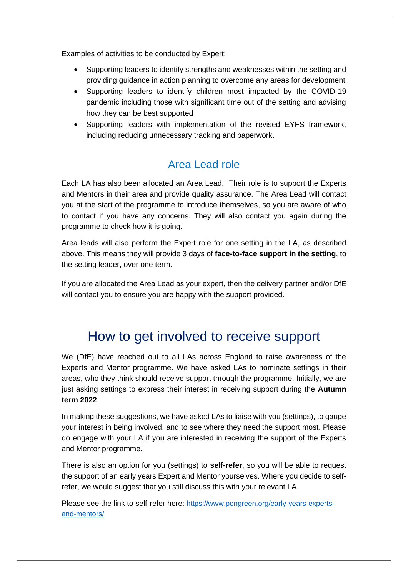Examples of activities to be conducted by Expert:

- Supporting leaders to identify strengths and weaknesses within the setting and providing guidance in action planning to overcome any areas for development
- Supporting leaders to identify children most impacted by the COVID-19 pandemic including those with significant time out of the setting and advising how they can be best supported
- Supporting leaders with implementation of the revised EYFS framework, including reducing unnecessary tracking and paperwork.

#### Area Lead role

<span id="page-3-0"></span>Each LA has also been allocated an Area Lead. Their role is to support the Experts and Mentors in their area and provide quality assurance. The Area Lead will contact you at the start of the programme to introduce themselves, so you are aware of who to contact if you have any concerns. They will also contact you again during the programme to check how it is going.

Area leads will also perform the Expert role for one setting in the LA, as described above. This means they will provide 3 days of **face-to-face support in the setting**, to the setting leader, over one term.

If you are allocated the Area Lead as your expert, then the delivery partner and/or DfE will contact you to ensure you are happy with the support provided.

### <span id="page-3-1"></span>How to get involved to receive support

We (DfE) have reached out to all LAs across England to raise awareness of the Experts and Mentor programme. We have asked LAs to nominate settings in their areas, who they think should receive support through the programme. Initially, we are just asking settings to express their interest in receiving support during the **Autumn term 2022**.

In making these suggestions, we have asked LAs to liaise with you (settings), to gauge your interest in being involved, and to see where they need the support most. Please do engage with your LA if you are interested in receiving the support of the Experts and Mentor programme.

There is also an option for you (settings) to **self-refer**, so you will be able to request the support of an early years Expert and Mentor yourselves. Where you decide to selfrefer, we would suggest that you still discuss this with your relevant LA.

Please see the link to self-refer here: [https://www.pengreen.org/early-years-experts](https://www.pengreen.org/early-years-experts-and-mentors/)[and-mentors/](https://www.pengreen.org/early-years-experts-and-mentors/)